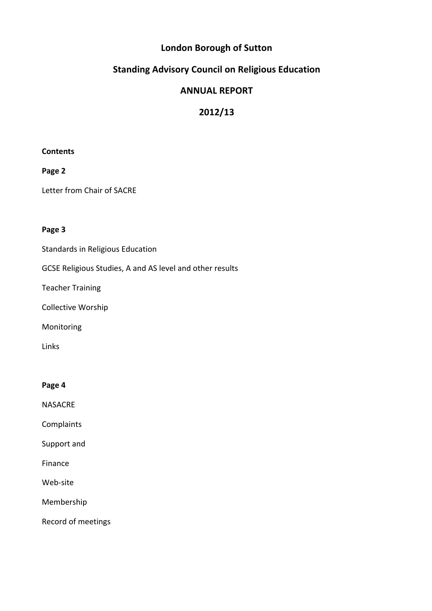# **London Borough of Sutton**

# **Standing Advisory Council on Religious Education**

# **ANNUAL REPORT**

# **2012/13**

# **Contents**

# **Page 2**

Letter from Chair of SACRE

#### **Page 3**

Standards in Religious Education

GCSE Religious Studies, A and AS level and other results

Teacher Training

Collective Worship

Monitoring

Links

# **Page 4**

NASACRE

**Complaints** 

Support and

Finance

Web-site

Membership

Record of meetings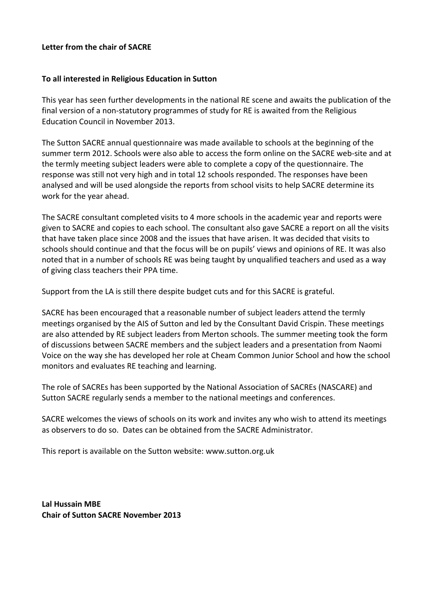#### Letter from the chair of SACRE

#### To all interested in Religious Education in Sutton

This year has seen further developments in the national RE scene and awaits the publication of the final version of a non-statutory programmes of study for RE is awaited from the Religious Education Council in November 2013.

The Sutton SACRE annual questionnaire was made available to schools at the beginning of the summer term 2012. Schools were also able to access the form online on the SACRE web-site and at the termly meeting subject leaders were able to complete a copy of the questionnaire. The response was still not very high and in total 12 schools responded. The responses have been analysed and will be used alongside the reports from school visits to help SACRE determine its work for the year ahead.

The SACRE consultant completed visits to 4 more schools in the academic year and reports were given to SACRE and copies to each school. The consultant also gave SACRE a report on all the visits that have taken place since 2008 and the issues that have arisen. It was decided that visits to schools should continue and that the focus will be on pupils' views and opinions of RE. It was also noted that in a number of schools RE was being taught by unqualified teachers and used as a way of giving class teachers their PPA time.

Support from the LA is still there despite budget cuts and for this SACRE is grateful.

SACRE has been encouraged that a reasonable number of subject leaders attend the termly meetings organised by the AIS of Sutton and led by the Consultant David Crispin. These meetings are also attended by RE subject leaders from Merton schools. The summer meeting took the form of discussions between SACRE members and the subject leaders and a presentation from Naomi Voice on the way she has developed her role at Cheam Common Junior School and how the school monitors and evaluates RE teaching and learning.

The role of SACREs has been supported by the National Association of SACREs (NASCARE) and Sutton SACRE regularly sends a member to the national meetings and conferences.

SACRE welcomes the views of schools on its work and invites any who wish to attend its meetings as observers to do so. Dates can be obtained from the SACRE Administrator.

This report is available on the Sutton website: www.sutton.org.uk

**Lal Hussain MBE Chair of Sutton SACRE November 2013**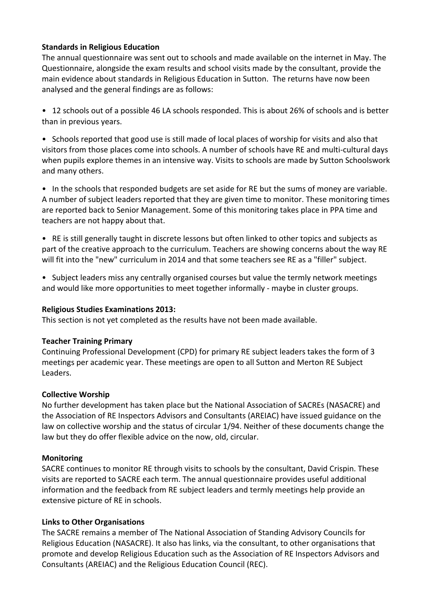# **Standards in Religious Education**

The annual questionnaire was sent out to schools and made available on the internet in May. The Questionnaire, alongside the exam results and school visits made by the consultant, provide the main evidence about standards in Religious Education in Sutton. The returns have now been analysed and the general findings are as follows:

• 12 schools out of a possible 46 LA schools responded. This is about 26% of schools and is better than in previous years.

• Schools reported that good use is still made of local places of worship for visits and also that visitors from those places come into schools. A number of schools have RE and multi-cultural days when pupils explore themes in an intensive way. Visits to schools are made by Sutton Schoolswork and many others.

• In the schools that responded budgets are set aside for RE but the sums of money are variable. A number of subject leaders reported that they are given time to monitor. These monitoring times are reported back to Senior Management. Some of this monitoring takes place in PPA time and teachers are not happy about that.

• RE is still generally taught in discrete lessons but often linked to other topics and subjects as part of the creative approach to the curriculum. Teachers are showing concerns about the way RE will fit into the "new" curriculum in 2014 and that some teachers see RE as a "filler" subject.

• Subject leaders miss any centrally organised courses but value the termly network meetings and would like more opportunities to meet together informally - maybe in cluster groups.

# **Religious Studies Examinations 2013:**

This section is not yet completed as the results have not been made available.

# **Teacher Training Primary**

Continuing Professional Development (CPD) for primary RE subject leaders takes the form of 3 meetings per academic year. These meetings are open to all Sutton and Merton RE Subject Leaders.

# **Collective Worship**

No further development has taken place but the National Association of SACREs (NASACRE) and the Association of RE Inspectors Advisors and Consultants (AREIAC) have issued guidance on the law on collective worship and the status of circular 1/94. Neither of these documents change the law but they do offer flexible advice on the now, old, circular.

# **Monitoring**

SACRE continues to monitor RE through visits to schools by the consultant, David Crispin. These visits are reported to SACRE each term. The annual questionnaire provides useful additional information and the feedback from RE subject leaders and termly meetings help provide an extensive picture of RE in schools.

# **Links to Other Organisations**

The SACRE remains a member of The National Association of Standing Advisory Councils for Religious Education (NASACRE). It also has links, via the consultant, to other organisations that promote and develop Religious Education such as the Association of RE Inspectors Advisors and Consultants (AREIAC) and the Religious Education Council (REC).